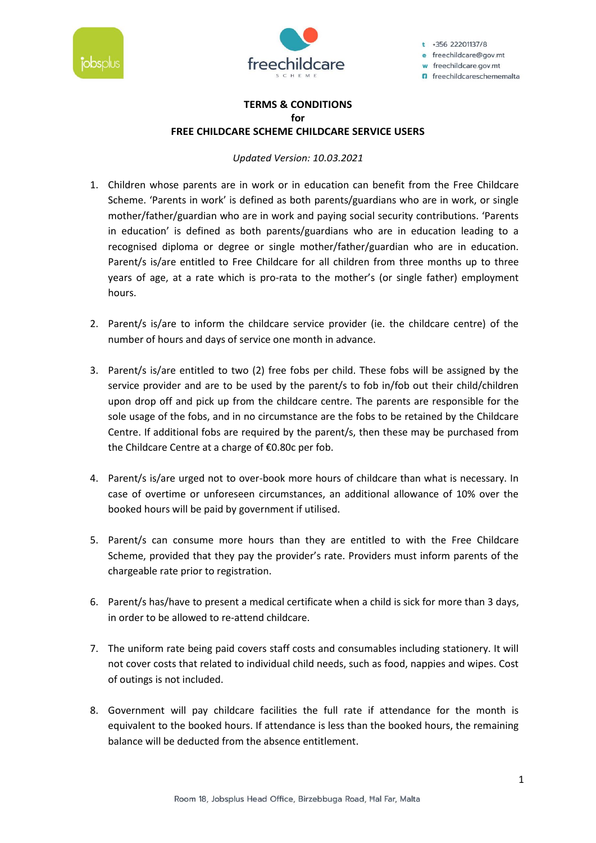



 $t$  +356 22201137/8 e freechildcare@gov.mt w freechildcare.gov.mt **n** freechildcareschememalta

## **TERMS & CONDITIONS for FREE CHILDCARE SCHEME CHILDCARE SERVICE USERS**

*Updated Version: 10.03.2021*

- 1. Children whose parents are in work or in education can benefit from the Free Childcare Scheme. 'Parents in work' is defined as both parents/guardians who are in work, or single mother/father/guardian who are in work and paying social security contributions. 'Parents in education' is defined as both parents/guardians who are in education leading to a recognised diploma or degree or single mother/father/guardian who are in education. Parent/s is/are entitled to Free Childcare for all children from three months up to three years of age, at a rate which is pro-rata to the mother's (or single father) employment hours.
- 2. Parent/s is/are to inform the childcare service provider (ie. the childcare centre) of the number of hours and days of service one month in advance.
- 3. Parent/s is/are entitled to two (2) free fobs per child. These fobs will be assigned by the service provider and are to be used by the parent/s to fob in/fob out their child/children upon drop off and pick up from the childcare centre. The parents are responsible for the sole usage of the fobs, and in no circumstance are the fobs to be retained by the Childcare Centre. If additional fobs are required by the parent/s, then these may be purchased from the Childcare Centre at a charge of €0.80c per fob.
- 4. Parent/s is/are urged not to over-book more hours of childcare than what is necessary. In case of overtime or unforeseen circumstances, an additional allowance of 10% over the booked hours will be paid by government if utilised.
- 5. Parent/s can consume more hours than they are entitled to with the Free Childcare Scheme, provided that they pay the provider's rate. Providers must inform parents of the chargeable rate prior to registration.
- 6. Parent/s has/have to present a medical certificate when a child is sick for more than 3 days, in order to be allowed to re-attend childcare.
- 7. The uniform rate being paid covers staff costs and consumables including stationery. It will not cover costs that related to individual child needs, such as food, nappies and wipes. Cost of outings is not included.
- 8. Government will pay childcare facilities the full rate if attendance for the month is equivalent to the booked hours. If attendance is less than the booked hours, the remaining balance will be deducted from the absence entitlement.